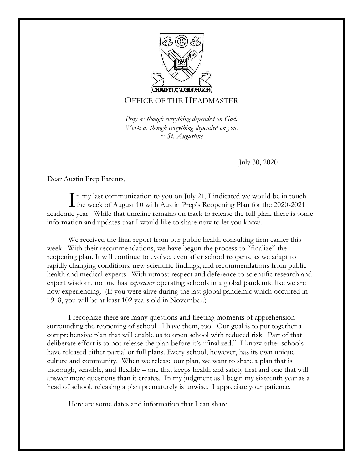

## OFFICE OF THE HEADMASTER

*Pray as though everything depended on God. Work as though everything depended on you. ~ St. Augustine*

July 30, 2020

Dear Austin Prep Parents,

n my last communication to you on July 21, I indicated we would be in touch In my last communication to you on July 21, I indicated we would be in touch<br>the week of August 10 with Austin Prep's Reopening Plan for the 2020-2021 academic year. While that timeline remains on track to release the full plan, there is some information and updates that I would like to share now to let you know.

We received the final report from our public health consulting firm earlier this week. With their recommendations, we have begun the process to "finalize" the reopening plan. It will continue to evolve, even after school reopens, as we adapt to rapidly changing conditions, new scientific findings, and recommendations from public health and medical experts. With utmost respect and deference to scientific research and expert wisdom, no one has *experience* operating schools in a global pandemic like we are now experiencing. (If you were alive during the last global pandemic which occurred in 1918, you will be at least 102 years old in November.)

I recognize there are many questions and fleeting moments of apprehension surrounding the reopening of school. I have them, too. Our goal is to put together a comprehensive plan that will enable us to open school with reduced risk. Part of that deliberate effort is to not release the plan before it's "finalized." I know other schools have released either partial or full plans. Every school, however, has its own unique culture and community. When we release our plan, we want to share a plan that is thorough, sensible, and flexible – one that keeps health and safety first and one that will answer more questions than it creates. In my judgment as I begin my sixteenth year as a head of school, releasing a plan prematurely is unwise. I appreciate your patience.

Here are some dates and information that I can share.